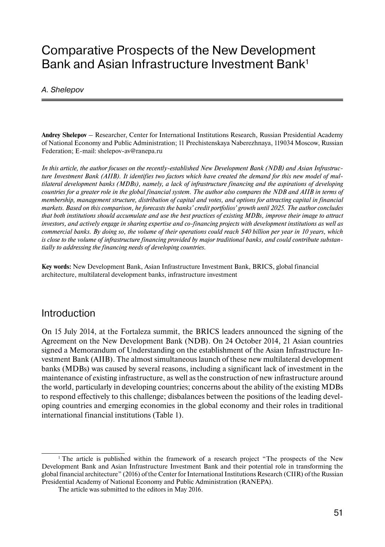# Comparative Prospects of the New Development Bank and Asian Infrastructure Investment Bank<sup>1</sup>

#### A. Shelepov

**Andrey Shelepov** – Researcher, Center for International Institutions Research, Russian Presidential Academy of National Economy and Public Administration; 11 Prechistenskaya Naberezhnaya, 119034 Moscow, Russian Federation; E-mail: shelepov-av@ranepa.ru

*In this article, the author focuses on the recently-established New Development Bank (NDB) and Asian Infrastructure Investment Bank (AIIB). It identifies two factors which have created the demand for this new model of multilateral development banks (MDBs), namely, a lack of infrastructure financing and the aspirations of developing countries for a greater role in the global financial system. The author also compares the NDB and AIIB in terms of membership, management structure, distribution of capital and votes, and options for attracting capital in financial markets. Based on this comparison, he forecasts the banks' credit portfolios' growth until 2025. The author concludes that both institutions should accumulate and use the best practices of existing MDBs, improve their image to attract investors, and actively engage in sharing expertise and co-financing projects with development institutions as well as commercial banks. By doing so, the volume of their operations could reach \$40 billion per year in 10 years, which is close to the volume of infrastructure financing provided by major traditional banks, and could contribute substantially to addressing the financing needs of developing countries.*

**Key words:** New Development Bank, Asian Infrastructure Investment Bank, BRICS, global financial architecture, multilateral development banks, infrastructure investment

#### Introduction

On 15 July 2014, at the Fortaleza summit, the BRICS leaders announced the signing of the Agreement on the New Development Bank (NDB). On 24 October 2014, 21 Asian countries signed a Memorandum of Understanding on the establishment of the Asian Infrastructure Investment Bank (AIIB). The almost simultaneous launch of these new multilateral development banks (MDBs) was caused by several reasons, including a significant lack of investment in the maintenance of existing infrastructure, as well as the construction of new infrastructure around the world, particularly in developing countries; concerns about the ability of the existing MDBs to respond effectively to this challenge; disbalances between the positions of the leading developing countries and emerging economies in the global economy and their roles in traditional international financial institutions (Table 1).

<sup>&</sup>lt;sup>1</sup> The article is published within the framework of a research project "The prospects of the New Development Bank and Asian Infrastructure Investment Bank and their potential role in transforming the global financial architecture" (2016) of the Center for International Institutions Research (CIIR) of the Russian Presidential Academy of National Economy and Public Administration (RANEPA).

The article was submitted to the editors in May 2016.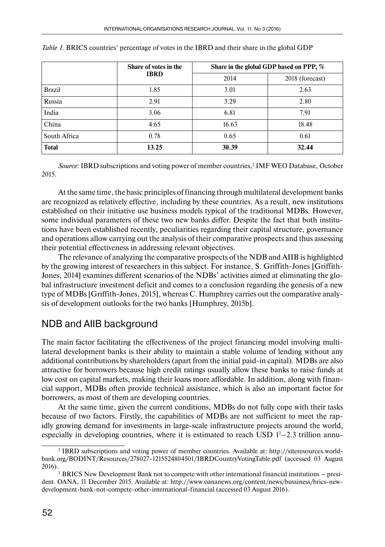|               | Share of votes in the<br><b>IBRD</b> | Share in the global GDP based on PPP, % |                 |  |
|---------------|--------------------------------------|-----------------------------------------|-----------------|--|
|               |                                      | 2014                                    | 2018 (forecast) |  |
| <b>Brazil</b> | 1.85                                 | 3.01                                    | 2.63            |  |
| Russia        | 2.91                                 | 3.29                                    | 2.80            |  |
| India         | 3.06                                 | 6.81                                    | 7.91            |  |
| China         | 4.65                                 | 16.63                                   | 18.48           |  |
| South Africa  | 0.78                                 | 0.65                                    | 0.61            |  |
| <b>Total</b>  | 13.25                                | 30.39                                   | 32.44           |  |

|  |  |  | Table 1. BRICS countries' percentage of votes in the IBRD and their share in the global GDP |
|--|--|--|---------------------------------------------------------------------------------------------|
|--|--|--|---------------------------------------------------------------------------------------------|

*Source*: IBRD subscriptions and voting power of member countries,<sup>2</sup> IMF WEO Database, October 2015.

At the same time, the basic principles of financing through multilateral development banks are recognized as relatively effective, including by these countries. As a result, new institutions established on their initiative use business models typical of the traditional MDBs. However, some individual parameters of these two new banks differ. Despite the fact that both institutions have been established recently, peculiarities regarding their capital structure, governance and operations allow carrying out the analysis of their comparative prospects and thus assessing their potential effectiveness in addressing relevant objectives.

The relevance of analyzing the comparative prospects of the NDB and AIIB is highlighted by the growing interest of researchers in this subject. For instance, S. Griffith-Jones [Griffith-Jones, 2014] examines different scenarios of the NDBs' activities aimed at eliminating the global infrastructure investment deficit and comes to a conclusion regarding the genesis of a new type of MDBs [Griffith-Jones, 2015], whereas C. Humphrey carries out the comparative analysis of development outlooks for the two banks [Humphrey, 2015b].

## NDB and AIIB background

The main factor facilitating the effectiveness of the project financing model involving multilateral development banks is their ability to maintain a stable volume of lending without any additional contributions by shareholders (apart from the initial paid-in capital). MDBs are also attractive for borrowers because high credit ratings usually allow these banks to raise funds at low cost on capital markets, making their loans more affordable. In addition, along with financial support, MDBs often provide technical assistance, which is also an important factor for borrowers, as most of them are developing countries.

At the same time, given the current conditions, MDBs do not fully cope with their tasks because of two factors. Firstly, the capabilities of MDBs are not sufficient to meet the rapidly growing demand for investments in large-scale infrastructure projects around the world, especially in developing countries, where it is estimated to reach USD  $1^3-2.3$  trillion annu-

<sup>2</sup> IBRD subscriptions and voting power of member countries. Available at: http://siteresources.worldbank.org/BODINT/Resources/278027-1215524804501/IBRDCountryVotingTable.pdf (accessed 03 August

<sup>2016).&</sup>lt;br><sup>3</sup> BRICS New Development Bank not to compete with other international financial institutions – president. OANA, 11 December 2015. Available at: http://www.oananews.org/content/news/bussiness/brics-newdevelopment-bank-not-compete-other-international-financial (accessed 03 August 2016).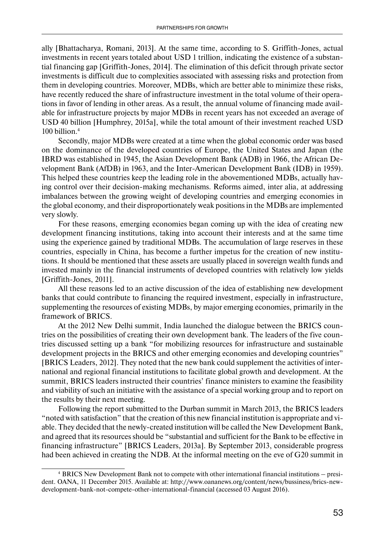ally [Bhattacharya, Romani, 2013]. At the same time, according to S. Griffith-Jones, actual investments in recent years totaled about USD 1 trillion, indicating the existence of a substantial financing gap [Griffith-Jones, 2014]. The elimination of this deficit through private sector investments is difficult due to complexities associated with assessing risks and protection from them in developing countries. Moreover, MDBs, which are better able to minimize these risks, have recently reduced the share of infrastructure investment in the total volume of their operations in favor of lending in other areas. As a result, the annual volume of financing made available for infrastructure projects by major MDBs in recent years has not exceeded an average of USD 40 billion [Humphrey, 2015a], while the total amount of their investment reached USD 100 billion.4

Secondly, major MDBs were created at a time when the global economic order was based on the dominance of the developed countries of Europe, the United States and Japan (the IBRD was established in 1945, the Asian Development Bank (ADB) in 1966, the African Development Bank (AfDB) in 1963, and the Inter-American Development Bank (IDB) in 1959). This helped these countries keep the leading role in the abovementioned MDBs, actually having control over their decision-making mechanisms. Reforms aimed, inter alia, at addressing imbalances between the growing weight of developing countries and emerging economies in the global economy, and their disproportionately weak positions in the MDBs are implemented very slowly.

For these reasons, emerging economies began coming up with the idea of creating new development financing institutions, taking into account their interests and at the same time using the experience gained by traditional MDBs. The accumulation of large reserves in these countries, especially in China, has become a further impetus for the creation of new institutions. It should be mentioned that these assets are usually placed in sovereign wealth funds and invested mainly in the financial instruments of developed countries with relatively low yields [Griffith-Jones, 2011].

All these reasons led to an active discussion of the idea of establishing new development banks that could contribute to financing the required investment, especially in infrastructure, supplementing the resources of existing MDBs, by major emerging economies, primarily in the framework of BRICS.

At the 2012 New Delhi summit, India launched the dialogue between the BRICS countries on the possibilities of creating their own development bank. The leaders of the five countries discussed setting up a bank "for mobilizing resources for infrastructure and sustainable development projects in the BRICS and other emerging economies and developing countries" [BRICS Leaders, 2012]. They noted that the new bank could supplement the activities of international and regional financial institutions to facilitate global growth and development. At the summit, BRICS leaders instructed their countries' finance ministers to examine the feasibility and viability of such an initiative with the assistance of a special working group and to report on the results by their next meeting.

Following the report submitted to the Durban summit in March 2013, the BRICS leaders "noted with satisfaction" that the creation of this new financial institution is appropriate and viable. They decided that the newly-created institution will be called the New Development Bank, and agreed that its resources should be "substantial and sufficient for the Bank to be effective in financing infrastructure" [BRICS Leaders, 2013a]. By September 2013, considerable progress had been achieved in creating the NDB. At the informal meeting on the eve of G20 summit in

<sup>4</sup> BRICS New Development Bank not to compete with other international financial institutions – president. OANA, 11 December 2015. Available at: http://www.oananews.org/content/news/bussiness/brics-newdevelopment-bank-not-compete-other-international-financial (accessed 03 August 2016).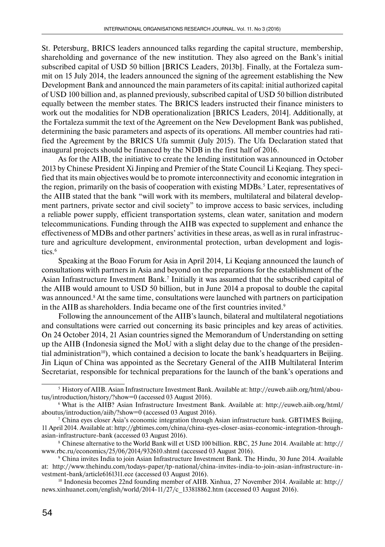St. Petersburg, BRICS leaders announced talks regarding the capital structure, membership, shareholding and governance of the new institution. They also agreed on the Bank's initial subscribed capital of USD 50 billion [BRICS Leaders, 2013b]. Finally, at the Fortaleza summit on 15 July 2014, the leaders announced the signing of the agreement establishing the New Development Bank and announced the main parameters of its capital: initial authorized capital of USD 100 billion and, as planned previously, subscribed capital of USD 50 billion distributed equally between the member states. The BRICS leaders instructed their finance ministers to work out the modalities for NDB operationalization [BRICS Leaders, 2014]. Additionally, at the Fortaleza summit the text of the Agreement on the New Development Bank was published, determining the basic parameters and aspects of its operations. All member countries had ratified the Agreement by the BRICS Ufa summit (July 2015). The Ufa Declaration stated that inaugural projects should be financed by the NDB in the first half of 2016.

As for the AIIB, the initiative to create the lending institution was announced in October 2013 by Chinese President Xi Jinping and Premier of the State Council Li Keqiang. They specified that its main objectives would be to promote interconnectivity and economic integration in the region, primarily on the basis of cooperation with existing MDBs. $^5$  Later, representatives of the AIIB stated that the bank "will work with its members, multilateral and bilateral development partners, private sector and civil society" to improve access to basic services, including a reliable power supply, efficient transportation systems, clean water, sanitation and modern telecommunications. Funding through the AIIB was expected to supplement and enhance the effectiveness of MDBs and other partners' activities in these areas, as well as in rural infrastructure and agriculture development, environmental protection, urban development and logistics.<sup>6</sup>

Speaking at the Boao Forum for Asia in April 2014, Li Keqiang announced the launch of consultations with partners in Asia and beyond on the preparations for the establishment of the Asian Infrastructure Investment Bank.7 Initially it was assumed that the subscribed capital of the AIIB would amount to USD 50 billion, but in June 2014 a proposal to double the capital was announced.<sup>8</sup> At the same time, consultations were launched with partners on participation in the AIIB as shareholders. India became one of the first countries invited.<sup>9</sup>

Following the announcement of the AIIB's launch, bilateral and multilateral negotiations and consultations were carried out concerning its basic principles and key areas of activities. On 24 October 2014, 21 Asian countries signed the Memorandum of Understanding on setting up the AIIB (Indonesia signed the MoU with a slight delay due to the change of the presidential administration<sup>10</sup>), which contained a decision to locate the bank's headquarters in Beijing. Jin Liqun of China was appointed as the Secretary General of the AIIB Multilateral Interim Secretariat, responsible for technical preparations for the launch of the bank's operations and

<sup>5</sup> History of AIIB. Asian Infrastructure Investment Bank. Available at: http://euweb.aiib.org/html/aboutus/introduction/history/?show=0 (accessed 03 August 2016).

<sup>6</sup> What is the AIIB? Asian Infrastructure Investment Bank. Available at: http://euweb.aiib.org/html/ aboutus/introduction/aiib/?show=0 (accessed 03 August 2016).

<sup>7</sup> China eyes closer Asia's economic integration through Asian infrastructure bank. GBTIMES Beijing, 11 April 2014. Available at: http://gbtimes.com/china/china-eyes-closer-asias-economic-integration-throughasian-infrastructure-bank (accessed 03 August 2016).

<sup>8</sup> Chinese alternative to the World Bank will et USD 100 billion. RBC, 25 June 2014. Available at: http:// www.rbc.ru/economics/25/06/2014/932610.shtml (accessed 03 August 2016).

<sup>9</sup> China invites India to join Asian Infrastructure Investment Bank. The Hindu, 30 June 2014. Available at: http://www.thehindu.com/todays-paper/tp-national/china-invites-india-to-join-asian-infrastructure-investment-bank/article6161311.ece (accessed 03 August 2016).

<sup>10</sup> Indonesia becomes 22nd founding member of AIIB. Xinhua, 27 November 2014. Available at: http:// news.xinhuanet.com/english/world/2014-11/27/c\_133818862.htm (accessed 03 August 2016).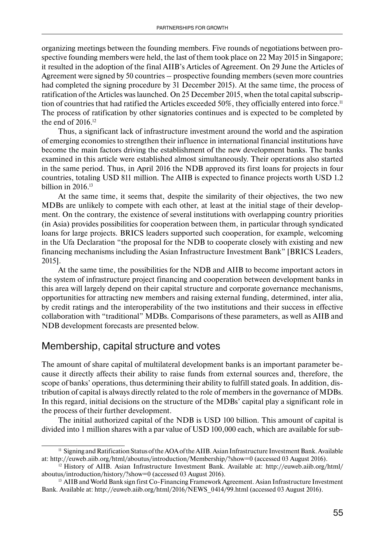organizing meetings between the founding members. Five rounds of negotiations between prospective founding members were held, the last of them took place on 22 May 2015 in Singapore; it resulted in the adoption of the final AIIB's Articles of Agreement. On 29 June the Articles of Agreement were signed by 50 countries – prospective founding members (seven more countries had completed the signing procedure by 31 December 2015). At the same time, the process of ratification of the Articles was launched. On 25 December 2015, when the total capital subscription of countries that had ratified the Articles exceeded 50%, they officially entered into force.<sup>11</sup> The process of ratification by other signatories continues and is expected to be completed by the end of 2016.<sup>12</sup>

Thus, a significant lack of infrastructure investment around the world and the aspiration of emerging economies to strengthen their influence in international financial institutions have become the main factors driving the establishment of the new development banks. The banks examined in this article were established almost simultaneously. Their operations also started in the same period. Thus, in April 2016 the NDB approved its first loans for projects in four countries, totaling USD 811 million. The AIIB is expected to finance projects worth USD 1.2 billion in 2016.<sup>13</sup>

At the same time, it seems that, despite the similarity of their objectives, the two new MDBs are unlikely to compete with each other, at least at the initial stage of their development. On the contrary, the existence of several institutions with overlapping country priorities (in Asia) provides possibilities for cooperation between them, in particular through syndicated loans for large projects. BRICS leaders supported such cooperation, for example, welcoming in the Ufa Declaration "the proposal for the NDB to cooperate closely with existing and new financing mechanisms including the Asian Infrastructure Investment Bank" [BRICS Leaders, 2015].

At the same time, the possibilities for the NDB and AIIB to become important actors in the system of infrastructure project financing and cooperation between development banks in this area will largely depend on their capital structure and corporate governance mechanisms, opportunities for attracting new members and raising external funding, determined, inter alia, by credit ratings and the interoperability of the two institutions and their success in effective collaboration with "traditional" MDBs. Comparisons of these parameters, as well as AIIB and NDB development forecasts are presented below.

#### Membership, capital structure and votes

The amount of share capital of multilateral development banks is an important parameter because it directly affects their ability to raise funds from external sources and, therefore, the scope of banks' operations, thus determining their ability to fulfill stated goals. In addition, distribution of capital is always directly related to the role of members in the governance of MDBs. In this regard, initial decisions on the structure of the MDBs' capital play a significant role in the process of their further development.

The initial authorized capital of the NDB is USD 100 billion. This amount of capital is divided into 1 million shares with a par value of USD 100,000 each, which are available for sub-

<sup>11</sup> Signing and Ratification Status of the AOA of the AIIB. Asian Infrastructure Investment Bank. Available at: http://euweb.aiib.org/html/aboutus/introduction/Membership/?show=0 (accessed 03 August 2016).

<sup>12</sup> History of AIIB. Asian Infrastructure Investment Bank. Available at: http://euweb.aiib.org/html/ aboutus/introduction/history/?show=0 (accessed 03 August 2016).

<sup>&</sup>lt;sup>13</sup> AIIB and World Bank sign first Co-Financing Framework Agreement. Asian Infrastructure Investment Bank. Available at: http://euweb.aiib.org/html/2016/NEWS\_0414/99.html (accessed 03 August 2016).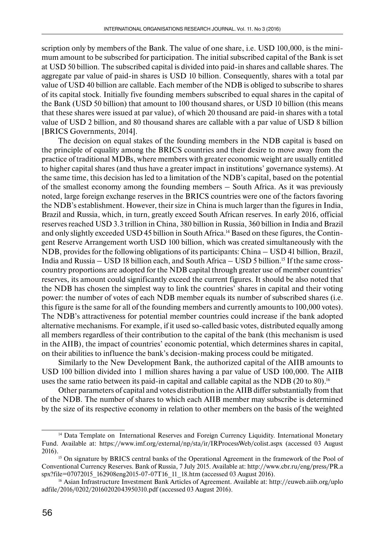scription only by members of the Bank. The value of one share, i.e. USD 100,000, is the minimum amount to be subscribed for participation. The initial subscribed capital of the Bank is set at USD 50 billion. The subscribed capital is divided into paid-in shares and callable shares. The aggregate par value of paid-in shares is USD 10 billion. Consequently, shares with a total par value of USD 40 billion are callable. Each member of the NDB is obliged to subscribe to shares of its capital stock. Initially five founding members subscribed to equal shares in the capital of the Bank (USD 50 billion) that amount to 100 thousand shares, or USD 10 billion (this means that these shares were issued at par value), of which 20 thousand are paid-in shares with a total value of USD 2 billion, and 80 thousand shares are callable with a par value of USD 8 billion [BRICS Governments, 2014].

The decision on equal stakes of the founding members in the NDB capital is based on the principle of equality among the BRICS countries and their desire to move away from the practice of traditional MDBs, where members with greater economic weight are usually entitled to higher capital shares (and thus have a greater impact in institutions' governance systems). At the same time, this decision has led to a limitation of the NDB's capital, based on the potential of the smallest economy among the founding members – South Africa. As it was previously noted, large foreign exchange reserves in the BRICS countries were one of the factors favoring the NDB's establishment. However, their size in China is much larger than the figures in India, Brazil and Russia, which, in turn, greatly exceed South African reserves. In early 2016, official reserves reached USD 3.3 trillion in China, 380 billion in Russia, 360 billion in India and Brazil and only slightly exceeded USD 45 billion in South Africa.14 Based on these figures, the Contingent Reserve Arrangement worth USD 100 billion, which was created simultaneously with the NDB, provides for the following obligations of its participants: China – USD 41 billion, Brazil, India and Russia – USD 18 billion each, and South Africa – USD 5 billion.<sup>15</sup> If the same crosscountry proportions are adopted for the NDB capital through greater use of member countries' reserves, its amount could significantly exceed the current figures. It should be also noted that the NDB has chosen the simplest way to link the countries' shares in capital and their voting power: the number of votes of each NDB member equals its number of subscribed shares (i.e. this figure is the same for all of the founding members and currently amounts to 100,000 votes). The NDB's attractiveness for potential member countries could increase if the bank adopted alternative mechanisms. For example, if it used so-called basic votes, distributed equally among all members regardless of their contribution to the capital of the bank (this mechanism is used in the AIIB), the impact of countries' economic potential, which determines shares in capital, on their abilities to influence the bank's decision-making process could be mitigated.

Similarly to the New Development Bank, the authorized capital of the AIIB amounts to USD 100 billion divided into 1 million shares having a par value of USD 100,000. The AIIB uses the same ratio between its paid-in capital and callable capital as the NDB (20 to 80).<sup>16</sup>

Other parameters of capital and votes distribution in the AIIB differ substantially from that of the NDB. The number of shares to which each AIIB member may subscribe is determined by the size of its respective economy in relation to other members on the basis of the weighted

<sup>&</sup>lt;sup>14</sup> Data Template on International Reserves and Foreign Currency Liquidity. International Monetary Fund. Available at: https://www.imf.org/external/np/sta/ir/IRProcessWeb/colist.aspx (accessed 03 August 2016).<br><sup>15</sup> On signature by BRICS central banks of the Operational Agreement in the framework of the Pool of

Conventional Currency Reserves. Bank of Russia, 7 July 2015. Available at: http://www.cbr.ru/eng/press/PR.a spx?file=07072015\_162908eng2015-07-07T16\_11\_18.htm (accessed 03 August 2016).

<sup>16</sup> Asian Infrastructure Investment Bank Articles of Agreement. Available at: http://euweb.aiib.org/uplo adfile/2016/0202/20160202043950310.pdf (accessed 03 August 2016).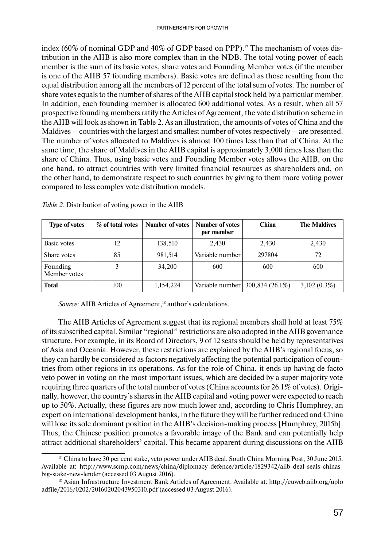index (60% of nominal GDP and 40% of GDP based on PPP).<sup>17</sup> The mechanism of votes distribution in the AIIB is also more complex than in the NDB. The total voting power of each member is the sum of its basic votes, share votes and Founding Member votes (if the member is one of the AIIB 57 founding members). Basic votes are defined as those resulting from the equal distribution among all the members of 12 percent of the total sum of votes. The number of share votes equals to the number of shares of the AIIB capital stock held by a particular member. In addition, each founding member is allocated 600 additional votes. As a result, when all 57 prospective founding members ratify the Articles of Agreement, the vote distribution scheme in the AIIB will look as shown in Table 2. As an illustration, the amounts of votes of China and the Maldives – countries with the largest and smallest number of votes respectively – are presented. The number of votes allocated to Maldives is almost 100 times less than that of China. At the same time, the share of Maldives in the AIIB capital is approximately 3,000 times less than the share of China. Thus, using basic votes and Founding Member votes allows the AIIB, on the one hand, to attract countries with very limited financial resources as shareholders and, on the other hand, to demonstrate respect to such countries by giving to them more voting power compared to less complex vote distribution models.

| <b>Type of votes</b>     | % of total votes | Number of votes | Number of votes<br>per member | <b>China</b>                        | <b>The Maldives</b> |
|--------------------------|------------------|-----------------|-------------------------------|-------------------------------------|---------------------|
| Basic votes              | 12               | 138,510         | 2.430                         | 2,430                               | 2,430               |
| Share votes              | 85               | 981,514         | Variable number               | 297804                              | 72                  |
| Founding<br>Member votes |                  | 34,200          | 600                           | 600                                 | 600                 |
| Total                    | 100              | 1,154,224       |                               | Variable number   $300,834$ (26.1%) | $3,102(0.3\%)$      |

*Table 2.* Distribution of voting power in the AIIB

*Source*: AIIB Articles of Agreement,<sup>18</sup> author's calculations.

The AIIB Articles of Agreement suggest that its regional members shall hold at least 75% of its subscribed capital. Similar "regional" restrictions are also adopted in the AIIB governance structure. For example, in its Board of Directors, 9 of 12 seats should be held by representatives of Asia and Oceania. However, these restrictions are explained by the AIIB's regional focus, so they can hardly be considered as factors negatively affecting the potential participation of countries from other regions in its operations. As for the role of China, it ends up having de facto veto power in voting on the most important issues, which are decided by a super majority vote requiring three quarters of the total number of votes (China accounts for 26.1% of votes). Originally, however, the country's shares in the AIIB capital and voting power were expected to reach up to 50%. Actually, these figures are now much lower and, according to Chris Humphrey, an expert on international development banks, in the future they will be further reduced and China will lose its sole dominant position in the AIIB's decision-making process [Humphrey, 2015b]. Thus, the Chinese position promotes a favorable image of the Bank and can potentially help attract additional shareholders' capital. This became apparent during discussions on the AIIB

<sup>&</sup>lt;sup>17</sup> China to have 30 per cent stake, veto power under AIIB deal. South China Morning Post, 30 June 2015. Available at: http://www.scmp.com/news/china/diplomacy-defence/article/1829342/aiib-deal-seals-chinasbig-stake-new-lender (accessed 03 August 2016).

<sup>18</sup> Asian Infrastructure Investment Bank Articles of Agreement. Available at: http://euweb.aiib.org/uplo adfile/2016/0202/20160202043950310.pdf (accessed 03 August 2016).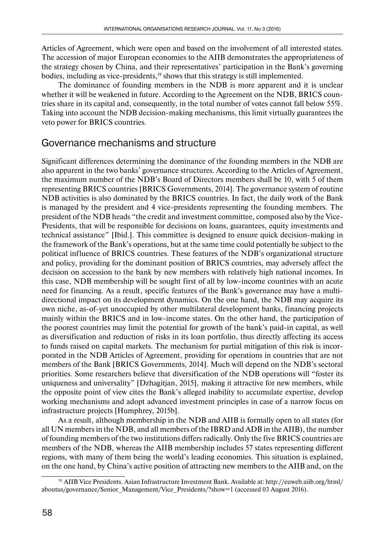Articles of Agreement, which were open and based on the involvement of all interested states. The accession of major European economies to the AIIB demonstrates the appropriateness of the strategy chosen by China, and their representatives' participation in the Bank's governing bodies, including as vice-presidents,<sup>19</sup> shows that this strategy is still implemented.

The dominance of founding members in the NDB is more apparent and it is unclear whether it will be weakened in future. According to the Agreement on the NDB, BRICS countries share in its capital and, consequently, in the total number of votes cannot fall below 55%. Taking into account the NDB decision-making mechanisms, this limit virtually guarantees the veto power for BRICS countries.

### Governance mechanisms and structure

Significant differences determining the dominance of the founding members in the NDB are also apparent in the two banks' governance structures. According to the Articles of Agreement, the maximum number of the NDB's Board of Directors members shall be 10, with 5 of them representing BRICS countries [BRICS Governments, 2014]. The governance system of routine NDB activities is also dominated by the BRICS countries. In fact, the daily work of the Bank is managed by the president and 4 vice-presidents representing the founding members. The president of the NDB heads "the credit and investment committee, composed also by the Vice-Presidents, that will be responsible for decisions on loans, guarantees, equity investments and technical assistance" [Ibid.]. This committee is designed to ensure quick decision-making in the framework of the Bank's operations, but at the same time could potentially be subject to the political influence of BRICS countries. These features of the NDB's organizational structure and policy, providing for the dominant position of BRICS countries, may adversely affect the decision on accession to the bank by new members with relatively high national incomes. In this case, NDB membership will be sought first of all by low-income countries with an acute need for financing. As a result, specific features of the Bank's governance may have a multidirectional impact on its development dynamics. On the one hand, the NDB may acquire its own niche, as-of-yet unoccupied by other multilateral development banks, financing projects mainly within the BRICS and in low-income states. On the other hand, the participation of the poorest countries may limit the potential for growth of the bank's paid-in capital, as well as diversification and reduction of risks in its loan portfolio, thus directly affecting its access to funds raised on capital markets. The mechanism for partial mitigation of this risk is incorporated in the NDB Articles of Agreement, providing for operations in countries that are not members of the Bank [BRICS Governments, 2014]. Much will depend on the NDB's sectoral priorities. Some researchers believe that diversification of the NDB operations will "foster its uniqueness and universality" [Dzhagitjan, 2015], making it attractive for new members, while the opposite point of view cites the Bank's alleged inability to accumulate expertise, develop working mechanisms and adopt advanced investment principles in case of a narrow focus on infrastructure projects [Humphrey, 2015b].

As a result, although membership in the NDB and AIIB is formally open to all states (for all UN members in the NDB, and all members of the IBRD and ADB in the AIIB), the number of founding members of the two institutions differs radically. Only the five BRICS countries are members of the NDB, whereas the AIIB membership includes 57 states representing different regions, with many of them being the world's leading economies. This situation is explained, on the one hand, by China's active position of attracting new members to the AIIB and, on the

<sup>19</sup> AIIB Vice Presidents. Asian Infrastructure Investment Bank. Available at: http://euweb.aiib.org/html/ aboutus/governance/Senior\_Management/Vice\_Presidents/?show=1 (accessed 03 August 2016).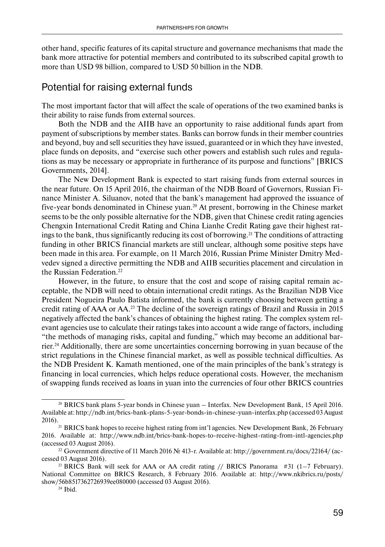other hand, specific features of its capital structure and governance mechanisms that made the bank more attractive for potential members and contributed to its subscribed capital growth to more than USD 98 billion, compared to USD 50 billion in the NDB.

# Potential for raising external funds

The most important factor that will affect the scale of operations of the two examined banks is their ability to raise funds from external sources.

Both the NDB and the AIIB have an opportunity to raise additional funds apart from payment of subscriptions by member states. Banks can borrow funds in their member countries and beyond, buy and sell securities they have issued, guaranteed or in which they have invested, place funds on deposits, and "exercise such other powers and establish such rules and regulations as may be necessary or appropriate in furtherance of its purpose and functions" [BRICS Governments, 2014].

The New Development Bank is expected to start raising funds from external sources in the near future. On 15 April 2016, the chairman of the NDB Board of Governors, Russian Finance Minister A. Siluanov, noted that the bank's management had approved the issuance of five-year bonds denominated in Chinese yuan.20 At present, borrowing in the Chinese market seems to be the only possible alternative for the NDB, given that Chinese credit rating agencies Chengxin International Credit Rating and China Lianhe Credit Rating gave their highest ratings to the bank, thus significantly reducing its cost of borrowing.<sup>21</sup> The conditions of attracting funding in other BRICS financial markets are still unclear, although some positive steps have been made in this area. For example, on 11 March 2016, Russian Prime Minister Dmitry Medvedev signed a directive permitting the NDB and AIIB securities placement and circulation in the Russian Federation.22

However, in the future, to ensure that the cost and scope of raising capital remain acceptable, the NDB will need to obtain international credit ratings. As the Brazilian NDB Vice President Nogueira Paulo Batista informed, the bank is currently choosing between getting a credit rating of AAA or AA.23 The decline of the sovereign ratings of Brazil and Russia in 2015 negatively affected the bank's chances of obtaining the highest rating. The complex system relevant agencies use to calculate their ratings takes into account a wide range of factors, including "the methods of managing risks, capital and funding," which may become an additional barrier.24 Additionally, there are some uncertainties concerning borrowing in yuan because of the strict regulations in the Chinese financial market, as well as possible technical difficulties. As the NDB President K. Kamath mentioned, one of the main principles of the bank's strategy is financing in local currencies, which helps reduce operational costs. However, the mechanism of swapping funds received as loans in yuan into the currencies of four other BRICS countries

<sup>20</sup> BRICS bank plans 5-year bonds in Chinese yuan – Interfax. New Development Bank, 15 April 2016. Available at: http://ndb.int/brics-bank-plans-5-year-bonds-in-chinese-yuan-interfax.php (accessed 03 August 2016).21 BRICS bank hopes to receive highest rating from int'l agencies. New Development Bank, 26 February

<sup>2016.</sup> Available at: http://www.ndb.int/brics-bank-hopes-to-receive-highest-rating-from-intl-agencies.php (accessed 03 August 2016).

<sup>22</sup> Government directive of 11 March 2016 № 413-r. Available at: http://government.ru/docs/22164/ (accessed 03 August 2016).

<sup>&</sup>lt;sup>23</sup> BRICS Bank will seek for AAA or AA credit rating  $//$  BRICS Panorama  $#31$  (1–7 February). National Committee on BRICS Research, 8 February 2016. Available at: http://www.nkibrics.ru/posts/ show/56b8517362726939ee080000 (accessed 03 August 2016).

<sup>24</sup> Ibid.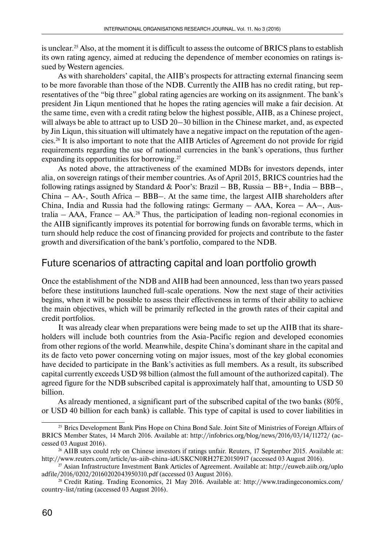is unclear.25 Also, at the moment it is difficult to assess the outcome of BRICS plans to establish its own rating agency, aimed at reducing the dependence of member economies on ratings issued by Western agencies.

As with shareholders' capital, the AIIB's prospects for attracting external financing seem to be more favorable than those of the NDB. Currently the AIIB has no credit rating, but representatives of the "big three" global rating agencies are working on its assignment. The bank's president Jin Liqun mentioned that he hopes the rating agencies will make a fair decision. At the same time, even with a credit rating below the highest possible, AIIB, as a Chinese project, will always be able to attract up to USD 20–30 billion in the Chinese market, and, as expected by Jin Liqun, this situation will ultimately have a negative impact on the reputation of the agencies.26 It is also important to note that the AIIB Articles of Agreement do not provide for rigid requirements regarding the use of national currencies in the bank's operations, thus further expanding its opportunities for borrowing.<sup>27</sup>

As noted above, the attractiveness of the examined MDBs for investors depends, inter alia, on sovereign ratings of their member countries. As of April 2015, BRICS countries had the following ratings assigned by Standard & Poor's: Brazil – BB, Russia – BB+, India – BBB–, China – AA-, South Africa – BBB–. At the same time, the largest AIIB shareholders after China, India and Russia had the following ratings: Germany – AAA, Korea – AA–, Australia –  $AAA$ , France –  $AA$ <sup>28</sup>. Thus, the participation of leading non-regional economies in the AIIB significantly improves its potential for borrowing funds on favorable terms, which in turn should help reduce the cost of financing provided for projects and contribute to the faster growth and diversification of the bank's portfolio, compared to the NDB.

#### Future scenarios of attracting capital and loan portfolio growth

Once the establishment of the NDB and AIIB had been announced, less than two years passed before these institutions launched full-scale operations. Now the next stage of their activities begins, when it will be possible to assess their effectiveness in terms of their ability to achieve the main objectives, which will be primarily reflected in the growth rates of their capital and credit portfolios.

It was already clear when preparations were being made to set up the AIIB that its shareholders will include both countries from the Asia-Pacific region and developed economies from other regions of the world. Meanwhile, despite China's dominant share in the capital and its de facto veto power concerning voting on major issues, most of the key global economies have decided to participate in the Bank's activities as full members. As a result, its subscribed capital currently exceeds USD 98 billion (almost the full amount of the authorized capital). The agreed figure for the NDB subscribed capital is approximately half that, amounting to USD 50 billion.

As already mentioned, a significant part of the subscribed capital of the two banks (80%, or USD 40 billion for each bank) is callable. This type of capital is used to cover liabilities in

<sup>&</sup>lt;sup>25</sup> Brics Development Bank Pins Hope on China Bond Sale. Joint Site of Ministries of Foreign Affairs of BRICS Member States, 14 March 2016. Available at: http://infobrics.org/blog/news/2016/03/14/11272/ (accessed 03 August 2016).

<sup>26</sup> AIIB says could rely on Chinese investors if ratings unfair. Reuters, 17 September 2015. Available at: http://www.reuters.com/article/us-aiib-china-idUSKCN0RH27E20150917 (accessed 03 August 2016).

<sup>27</sup> Asian Infrastructure Investment Bank Articles of Agreement. Available at: http://euweb.aiib.org/uplo adfile/2016/0202/20160202043950310.pdf (accessed 03 August 2016).

<sup>28</sup> Credit Rating. Trading Economics, 21 May 2016. Available at: http://www.tradingeconomics.com/ country-list/rating (accessed 03 August 2016).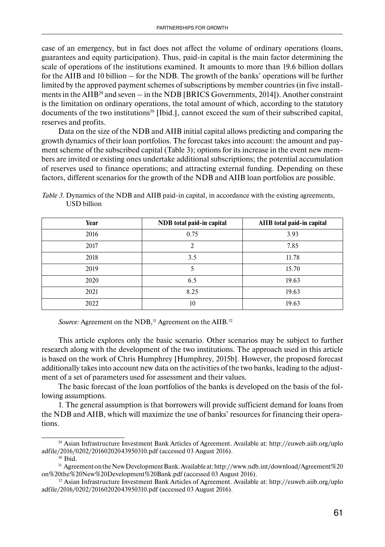case of an emergency, but in fact does not affect the volume of ordinary operations (loans, guarantees and equity participation). Thus, paid-in capital is the main factor determining the scale of operations of the institutions examined. It amounts to more than 19.6 billion dollars for the AIIB and 10 billion – for the NDB. The growth of the banks' operations will be further limited by the approved payment schemes of subscriptions by member countries (in five installments in the  $AIB^{29}$  and seven – in the NDB [BRICS Governments, 2014]). Another constraint is the limitation on ordinary operations, the total amount of which, according to the statutory documents of the two institutions $30$  [Ibid.], cannot exceed the sum of their subscribed capital, reserves and profits.

Data on the size of the NDB and AIIB initial capital allows predicting and comparing the growth dynamics of their loan portfolios. The forecast takes into account: the amount and payment scheme of the subscribed capital (Table 3); options for its increase in the event new members are invited or existing ones undertake additional subscriptions; the potential accumulation of reserves used to finance operations; and attracting external funding. Depending on these factors, different scenarios for the growth of the NDB and AIIB loan portfolios are possible.

| Year | NDB total paid-in capital | AIIB total paid-in capital |  |
|------|---------------------------|----------------------------|--|
| 2016 | 0.75                      | 3.93                       |  |
| 2017 | າ                         | 7.85                       |  |
| 2018 | 3.5                       | 11.78                      |  |
| 2019 | 5                         | 15.70                      |  |
| 2020 | 6.5                       | 19.63                      |  |
| 2021 | 8.25                      | 19.63                      |  |
| 2022 | 10                        | 19.63                      |  |

*Table 3.* Dynamics of the NDB and AIIB paid-in capital, in accordance with the existing agreements, USD billion

*Source:* Agreement on the NDB,<sup>31</sup> Agreement on the AIIB.<sup>32</sup>

This article explores only the basic scenario. Other scenarios may be subject to further research along with the development of the two institutions. The approach used in this article is based on the work of Chris Humphrey [Humphrey, 2015b]. However, the proposed forecast additionally takes into account new data on the activities of the two banks, leading to the adjustment of a set of parameters used for assessment and their values.

The basic forecast of the loan portfolios of the banks is developed on the basis of the following assumptions.

1. The general assumption is that borrowers will provide sufficient demand for loans from the NDB and AIIB, which will maximize the use of banks' resources for financing their operations.

<sup>29</sup> Asian Infrastructure Investment Bank Articles of Agreement. Available at: http://euweb.aiib.org/uplo adfile/2016/0202/20160202043950310.pdf (accessed 03 August 2016).

<sup>30</sup> Ibid.

<sup>31</sup> Agreement on the New Development Bank. Available at: http://www.ndb.int/download/Agreement%20 on%20the%20New%20Development%20Bank.pdf (accessed 03 August 2016).

<sup>32</sup> Asian Infrastructure Investment Bank Articles of Agreement. Available at: http://euweb.aiib.org/uplo adfile/2016/0202/20160202043950310.pdf (accessed 03 August 2016).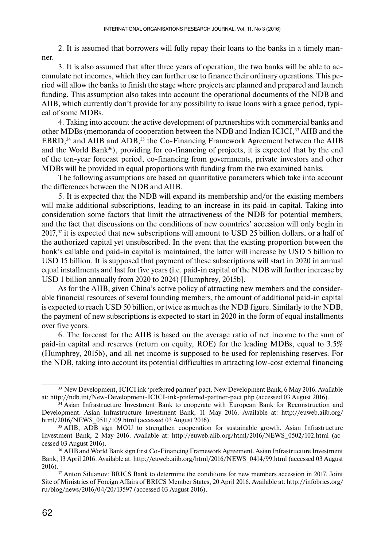2. It is assumed that borrowers will fully repay their loans to the banks in a timely manner.

3. It is also assumed that after three years of operation, the two banks will be able to accumulate net incomes, which they can further use to finance their ordinary operations. This period will allow the banks to finish the stage where projects are planned and prepared and launch funding. This assumption also takes into account the operational documents of the NDB and AIIB, which currently don't provide for any possibility to issue loans with a grace period, typical of some MDBs.

4. Taking into account the active development of partnerships with commercial banks and other MDBs (memoranda of cooperation between the NDB and Indian ICICI,<sup>33</sup> AIIB and the EBRD, $34$  and AIIB and ADB,  $35$  the Co-Financing Framework Agreement between the AIIB and the World Bank $36$ ), providing for co-financing of projects, it is expected that by the end of the ten-year forecast period, co-financing from governments, private investors and other MDBs will be provided in equal proportions with funding from the two examined banks.

The following assumptions are based on quantitative parameters which take into account the differences between the NDB and AIIB.

5. It is expected that the NDB will expand its membership and/or the existing members will make additional subscriptions, leading to an increase in its paid-in capital. Taking into consideration some factors that limit the attractiveness of the NDB for potential members, and the fact that discussions on the conditions of new countries' accession will only begin in  $2017$ ,<sup>37</sup> it is expected that new subscriptions will amount to USD 25 billion dollars, or a half of the authorized capital yet unsubscribed. In the event that the existing proportion between the bank's callable and paid-in capital is maintained, the latter will increase by USD 5 billion to USD 15 billion. It is supposed that payment of these subscriptions will start in 2020 in annual equal installments and last for five years (i.e. paid-in capital of the NDB will further increase by USD 1 billion annually from 2020 to 2024) [Humphrey, 2015b].

As for the AIIB, given China's active policy of attracting new members and the considerable financial resources of several founding members, the amount of additional paid-in capital is expected to reach USD 50 billion, or twice as much as the NDB figure. Similarly to the NDB, the payment of new subscriptions is expected to start in 2020 in the form of equal installments over five years.

6. The forecast for the AIIB is based on the average ratio of net income to the sum of paid-in capital and reserves (return on equity, ROE) for the leading MDBs, equal to 3.5% (Humphrey, 2015b), and all net income is supposed to be used for replenishing reserves. For the NDB, taking into account its potential difficulties in attracting low-cost external financing

<sup>&</sup>lt;sup>33</sup> New Development, ICICI ink 'preferred partner' pact. New Development Bank, 6 May 2016. Available at: http://ndb.int/New-Development-ICICI-ink-preferred-partner-pact.php (accessed 03 August 2016).

<sup>34</sup> Asian Infrastructure Investment Bank to cooperate with European Bank for Reconstruction and Development. Asian Infrastructure Investment Bank, 11 May 2016. Available at: http://euweb.aiib.org/ html/2016/NEWS\_0511/109.html (accessed 03 August 2016).

<sup>&</sup>lt;sup>35</sup> AIIB, ADB sign MOU to strengthen cooperation for sustainable growth. Asian Infrastructure Investment Bank, 2 May 2016. Available at: http://euweb.aiib.org/html/2016/NEWS\_0502/102.html (accessed 03 August 2016).

<sup>36</sup> AIIB and World Bank sign first Co-Financing Framework Agreement. Asian Infrastructure Investment Bank, 13 April 2016. Available at: http://euweb.aiib.org/html/2016/NEWS\_0414/99.html (accessed 03 August 2016).<br><sup>37</sup> Anton Siluanov: BRICS Bank to determine the conditions for new members accession in 2017. Joint

Site of Ministries of Foreign Affairs of BRICS Member States, 20 April 2016. Available at: http://infobrics.org/ ru/blog/news/2016/04/20/13597 (accessed 03 August 2016).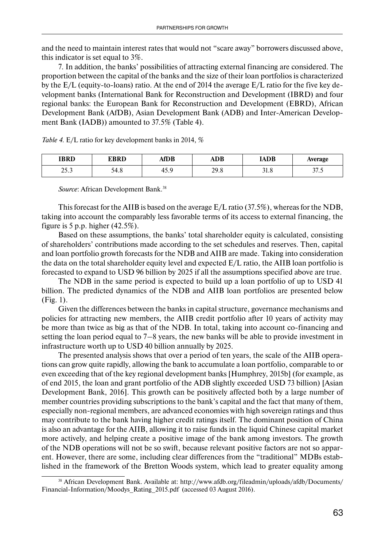and the need to maintain interest rates that would not "scare away" borrowers discussed above, this indicator is set equal to 3%.

7. In addition, the banks' possibilities of attracting external financing are considered. The proportion between the capital of the banks and the size of their loan portfolios is characterized by the E/L (equity-to-loans) ratio. At the end of 2014 the average E/L ratio for the five key development banks (International Bank for Reconstruction and Development (IBRD) and four regional banks: the European Bank for Reconstruction and Development (EBRD), African Development Bank (AfDB), Asian Development Bank (ADB) and Inter-American Development Bank (IADB)) amounted to 37.5% (Table 4).

| <b>IBRD</b> | <b>EBRD</b> | AfDB     | <b>ADB</b> | IADB | <b>Average</b> |
|-------------|-------------|----------|------------|------|----------------|
| nr n        | 54.8        | $\Omega$ | າດ ເ       | 21 C | 77             |
| ر.رے        |             | 45.5     | 27.0       | 21.O | ر. ، ر         |

*Table 4.* E/L ratio for key development banks in 2014, %

*Source*: African Development Bank.<sup>38</sup>

This forecast for the AIIB is based on the average E/L ratio (37.5%), whereas for the NDB, taking into account the comparably less favorable terms of its access to external financing, the figure is 5 p.p. higher  $(42.5\%)$ .

Based on these assumptions, the banks' total shareholder equity is calculated, consisting of shareholders' contributions made according to the set schedules and reserves. Then, capital and loan portfolio growth forecasts for the NDB and AIIB are made. Taking into consideration the data on the total shareholder equity level and expected E/L ratio, the AIIB loan portfolio is forecasted to expand to USD 96 billion by 2025 if all the assumptions specified above are true.

The NDB in the same period is expected to build up a loan portfolio of up to USD 41 billion. The predicted dynamics of the NDB and AIIB loan portfolios are presented below (Fig. 1).

Given the differences between the banks in capital structure, governance mechanisms and policies for attracting new members, the AIIB credit portfolio after 10 years of activity may be more than twice as big as that of the NDB. In total, taking into account co-financing and setting the loan period equal to 7–8 years, the new banks will be able to provide investment in infrastructure worth up to USD 40 billion annually by 2025.

The presented analysis shows that over a period of ten years, the scale of the AIIB operations can grow quite rapidly, allowing the bank to accumulate a loan portfolio, comparable to or even exceeding that of the key regional development banks [Humphrey, 2015b] (for example, as of end 2015, the loan and grant portfolio of the ADB slightly exceeded USD 73 billion) [Asian Development Bank, 2016]. This growth can be positively affected both by a large number of member countries providing subscriptions to the bank's capital and the fact that many of them, especially non-regional members, are advanced economies with high sovereign ratings and thus may contribute to the bank having higher credit ratings itself. The dominant position of China is also an advantage for the AIIB, allowing it to raise funds in the liquid Chinese capital market more actively, and helping create a positive image of the bank among investors. The growth of the NDB operations will not be so swift, because relevant positive factors are not so apparent. However, there are some, including clear differences from the "traditional" MDBs established in the framework of the Bretton Woods system, which lead to greater equality among

<sup>38</sup> African Development Bank. Available at: http://www.afdb.org/fileadmin/uploads/afdb/Documents/ Financial-Information/Moodys\_Rating\_2015.pdf (accessed 03 August 2016).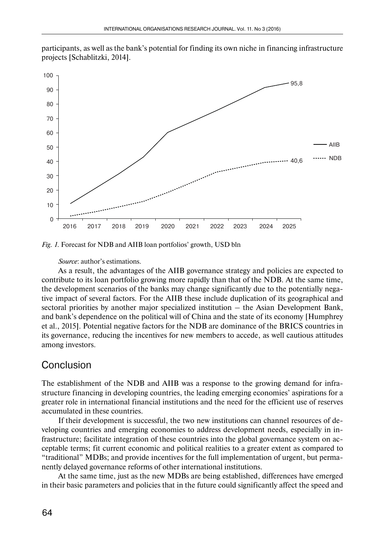participants, as well as the bank's potential for finding its own niche in financing infrastructure projects [Schablitzki, 2014].



*Fig. 1.* Forecast for NDB and AIIB loan portfolios' growth, USD bln

*Source*: author's estimations.

As a result, the advantages of the AIIB governance strategy and policies are expected to contribute to its loan portfolio growing more rapidly than that of the NDB. At the same time, the development scenarios of the banks may change significantly due to the potentially negative impact of several factors. For the AIIB these include duplication of its geographical and sectoral priorities by another major specialized institution – the Asian Development Bank, and bank's dependence on the political will of China and the state of its economy [Humphrey et al., 2015]. Potential negative factors for the NDB are dominance of the BRICS countries in its governance, reducing the incentives for new members to accede, as well cautious attitudes among investors.

#### Conclusion

The establishment of the NDB and AIIB was a response to the growing demand for infrastructure financing in developing countries, the leading emerging economies' aspirations for a greater role in international financial institutions and the need for the efficient use of reserves accumulated in these countries.

If their development is successful, the two new institutions can channel resources of developing countries and emerging economies to address development needs, especially in infrastructure; facilitate integration of these countries into the global governance system on acceptable terms; fit current economic and political realities to a greater extent as compared to "traditional" MDBs; and provide incentives for the full implementation of urgent, but permanently delayed governance reforms of other international institutions.

At the same time, just as the new MDBs are being established, differences have emerged in their basic parameters and policies that in the future could significantly affect the speed and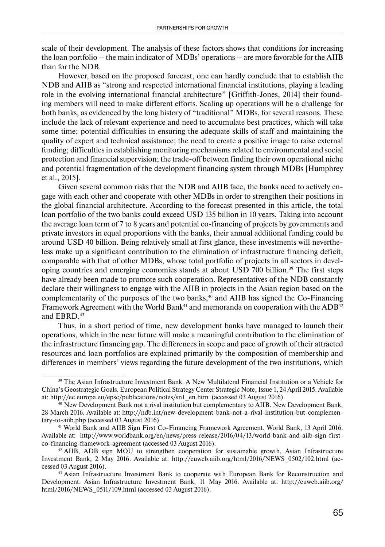scale of their development. The analysis of these factors shows that conditions for increasing the loan portfolio – the main indicator of MDBs' operations – are more favorable for the AIIB than for the NDB.

However, based on the proposed forecast, one can hardly conclude that to establish the NDB and AIIB as "strong and respected international financial institutions, playing a leading role in the evolving international financial architecture" [Griffith-Jones, 2014] their founding members will need to make different efforts. Scaling up operations will be a challenge for both banks, as evidenced by the long history of "traditional" MDBs, for several reasons. These include the lack of relevant experience and need to accumulate best practices, which will take some time; potential difficulties in ensuring the adequate skills of staff and maintaining the quality of expert and technical assistance; the need to create a positive image to raise external funding; difficulties in establishing monitoring mechanisms related to environmental and social protection and financial supervision; the trade-off between finding their own operational niche and potential fragmentation of the development financing system through MDBs [Humphrey et al., 2015].

Given several common risks that the NDB and AIIB face, the banks need to actively engage with each other and cooperate with other MDBs in order to strengthen their positions in the global financial architecture. According to the forecast presented in this article, the total loan portfolio of the two banks could exceed USD 135 billion in 10 years. Taking into account the average loan term of 7 to 8 years and potential co-financing of projects by governments and private investors in equal proportions with the banks, their annual additional funding could be around USD 40 billion. Being relatively small at first glance, these investments will nevertheless make up a significant contribution to the elimination of infrastructure financing deficit, comparable with that of other MDBs, whose total portfolio of projects in all sectors in developing countries and emerging economies stands at about USD 700 billion.39 The first steps have already been made to promote such cooperation. Representatives of the NDB constantly declare their willingness to engage with the AIIB in projects in the Asian region based on the complementarity of the purposes of the two banks, $40$  and AIIB has signed the Co-Financing Framework Agreement with the World Bank<sup>41</sup> and memoranda on cooperation with the  $ADB<sup>42</sup>$ and EBRD.<sup>43</sup>

Thus, in a short period of time, new development banks have managed to launch their operations, which in the near future will make a meaningful contribution to the elimination of the infrastructure financing gap. The differences in scope and pace of growth of their attracted resources and loan portfolios are explained primarily by the composition of membership and differences in members' views regarding the future development of the two institutions, which

<sup>39</sup> The Asian Infrastructure Investment Bank. A New Multilateral Financial Institution or a Vehicle for China's Geostrategic Goals. European Political Strategy Center Strategic Note, Issue 1, 24 April 2015. Available at: http://ec.europa.eu/epsc/publications/notes/sn1\_en.htm (accessed 03 August 2016).

<sup>40</sup> New Development Bank not a rival institution but complementary to AIIB. New Development Bank, 28 March 2016. Available at: http://ndb.int/new-development-bank-not-a-rival-institution-but-complementary-to-aiib.php (accessed 03 August 2016).

<sup>41</sup> World Bank and AIIB Sign First Co-Financing Framework Agreement. World Bank, 13 April 2016. Available at: http://www.worldbank.org/en/news/press-release/2016/04/13/world-bank-and-aiib-sign-firstco-financing-framework-agreement (accessed 03 August 2016).

<sup>42</sup> AIIB, ADB sign MOU to strengthen cooperation for sustainable growth. Asian Infrastructure Investment Bank, 2 May 2016. Available at: http://euweb.aiib.org/html/2016/NEWS\_0502/102.html (accessed 03 August 2016).

<sup>43</sup> Asian Infrastructure Investment Bank to cooperate with European Bank for Reconstruction and Development. Asian Infrastructure Investment Bank, 11 May 2016. Available at: http://euweb.aiib.org/ html/2016/NEWS\_0511/109.html (accessed 03 August 2016).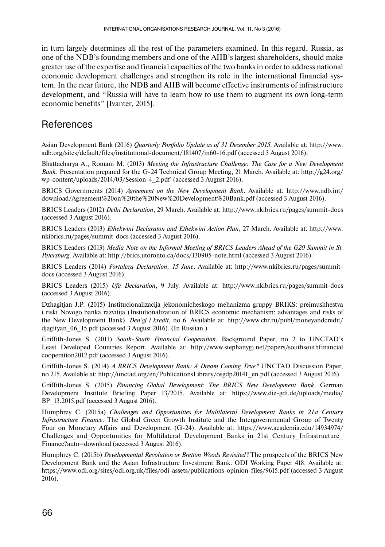in turn largely determines all the rest of the parameters examined. In this regard, Russia, as one of the NDB's founding members and one of the AIIB's largest shareholders, should make greater use of the expertise and financial capacities of the two banks in order to address national economic development challenges and strengthen its role in the international financial system. In the near future, the NDB and AIIB will become effective instruments of infrastructure development, and "Russia will have to learn how to use them to augment its own long-term economic benefits" [Ivanter, 2015].

#### **References**

Asian Development Bank (2016) *Quarterly Portfolio Update as of 31 December 2015*. Available at: http://www. adb.org/sites/default/files/institutional-document/181407/in60-16.pdf (accessed 3 August 2016).

Bhattacharya A., Romani M. (2013) *Meeting the Infrastructure Challenge: The Case for a New Development Bank*. Presentation prepared for the G-24 Technical Group Meeting, 21 March. Available at: http://g24.org/ wp-content/uploads/2014/03/Session-4\_2.pdf (accessed 3 August 2016).

BRICS Governments (2014) *Agreement on the New Development Bank*. Available at: http://www.ndb.int/ download/Agreement%20on%20the%20New%20Development%20Bank.pdf (accessed 3 August 2016).

BRICS Leaders (2012) *Delhi Declaration*, 29 March. Available at: http://www.nkibrics.ru/pages/summit-docs (accessed 3 August 2016).

BRICS Leaders (2013) *Ethekwini Declaraton and Ethekwini Action Plan*, 27 March. Available at: http://www. nkibrics.ru/pages/summit-docs (accessed 3 August 2016).

BRICS Leaders (2013) *Media Note on the Informal Meeting of BRICS Leaders Ahead of the G20 Summit in St. Petersburg*. Available at: http://brics.utoronto.ca/docs/130905-note.html (accessed 3 August 2016).

BRICS Leaders (2014) *Fortaleza Declaration, 15 June*. Available at: http://www.nkibrics.ru/pages/summitdocs (accessed 3 August 2016).

BRICS Leaders (2015) *Ufa Declaration*, 9 July. Available at: http://www.nkibrics.ru/pages/summit-docs (accessed 3 August 2016).

Dzhagitjan J.P. (2015) Institucionalizacija jekonomicheskogo mehanizma gruppy BRIKS: preimushhestva i riski Novogo banka razvitija (Instutionalization of BRICS economic mechanism: advantages and risks of the New Development Bank). *Den'gi i kredit*, no 6. Available at: http://www.cbr.ru/publ/moneyandcredit/ djagityan\_06\_15.pdf (accessed 3 August 2016). (In Russian.)

Griffith-Jones S. (2011) *South-South Financial Cooperation*. Background Paper, no 2 to UNCTAD's Least Developed Countries Report. Available at: http://www.stephanygj.net/papers/southsouthfinancial cooperation2012.pdf (accessed 3 August 2016).

Griffith-Jones S. (2014) *A BRICS Development Bank: A Dream Coming True?* UNCTAD Discussion Paper, no 215. Available at: http://unctad.org/en/PublicationsLibrary/osgdp20141\_en.pdf (accessed 3 August 2016).

Griffith-Jones S. (2015) *Financing Global Development: The BRICS New Development Bank*. German Development Institute Briefing Paper 13/2015. Available at: https://www.die-gdi.de/uploads/media/ BP\_13.2015.pdf (accessed 3 August 2016).

Humphrey C. (2015a) *Challenges and Opportunities for Multilateral Development Banks in 21st Century Infrastructure Finance*. The Global Green Growth Institute and the Intergovernmental Group of Twenty Four on Monetary Affairs and Development (G-24). Available at: https://www.academia.edu/14934974/ Challenges\_and\_Opportunities\_for\_Multilateral\_Development\_Banks\_in\_21st\_Century\_Infrastructure\_ Finance?auto=download (accessed 3 August 2016).

Humphrey C. (2015b) *Developmental Revolution or Bretton Woods Revisited?* The prospects of the BRICS New Development Bank and the Asian Infrastructure Investment Bank. ODI Working Paper 418. Available at: https://www.odi.org/sites/odi.org.uk/files/odi-assets/publications-opinion-files/9615.pdf (accessed 3 August 2016).